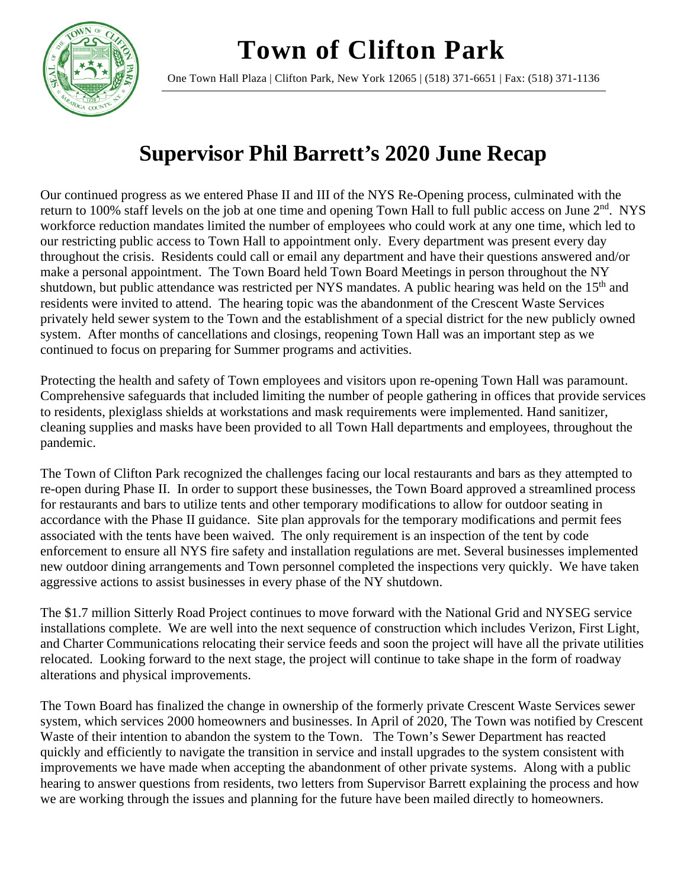## **Town of Clifton Park**



One Town Hall Plaza | Clifton Park, New York 12065 | (518) 371-6651 | Fax: (518) 371-1136

## **Supervisor Phil Barrett's 2020 June Recap**

Our continued progress as we entered Phase II and III of the NYS Re-Opening process, culminated with the return to 100% staff levels on the job at one time and opening Town Hall to full public access on June 2<sup>nd</sup>. NYS workforce reduction mandates limited the number of employees who could work at any one time, which led to our restricting public access to Town Hall to appointment only. Every department was present every day throughout the crisis. Residents could call or email any department and have their questions answered and/or make a personal appointment. The Town Board held Town Board Meetings in person throughout the NY shutdown, but public attendance was restricted per NYS mandates. A public hearing was held on the 15<sup>th</sup> and residents were invited to attend. The hearing topic was the abandonment of the Crescent Waste Services privately held sewer system to the Town and the establishment of a special district for the new publicly owned system. After months of cancellations and closings, reopening Town Hall was an important step as we continued to focus on preparing for Summer programs and activities.

Protecting the health and safety of Town employees and visitors upon re-opening Town Hall was paramount. Comprehensive safeguards that included limiting the number of people gathering in offices that provide services to residents, plexiglass shields at workstations and mask requirements were implemented. Hand sanitizer, cleaning supplies and masks have been provided to all Town Hall departments and employees, throughout the pandemic.

The Town of Clifton Park recognized the challenges facing our local restaurants and bars as they attempted to re-open during Phase II. In order to support these businesses, the Town Board approved a streamlined process for restaurants and bars to utilize tents and other temporary modifications to allow for outdoor seating in accordance with the Phase II guidance. Site plan approvals for the temporary modifications and permit fees associated with the tents have been waived. The only requirement is an inspection of the tent by code enforcement to ensure all NYS fire safety and installation regulations are met. Several businesses implemented new outdoor dining arrangements and Town personnel completed the inspections very quickly. We have taken aggressive actions to assist businesses in every phase of the NY shutdown.

The \$1.7 million Sitterly Road Project continues to move forward with the National Grid and NYSEG service installations complete. We are well into the next sequence of construction which includes Verizon, First Light, and Charter Communications relocating their service feeds and soon the project will have all the private utilities relocated. Looking forward to the next stage, the project will continue to take shape in the form of roadway alterations and physical improvements.

The Town Board has finalized the change in ownership of the formerly private Crescent Waste Services sewer system, which services 2000 homeowners and businesses. In April of 2020, The Town was notified by Crescent Waste of their intention to abandon the system to the Town. The Town's Sewer Department has reacted quickly and efficiently to navigate the transition in service and install upgrades to the system consistent with improvements we have made when accepting the abandonment of other private systems. Along with a public hearing to answer questions from residents, two letters from Supervisor Barrett explaining the process and how we are working through the issues and planning for the future have been mailed directly to homeowners.